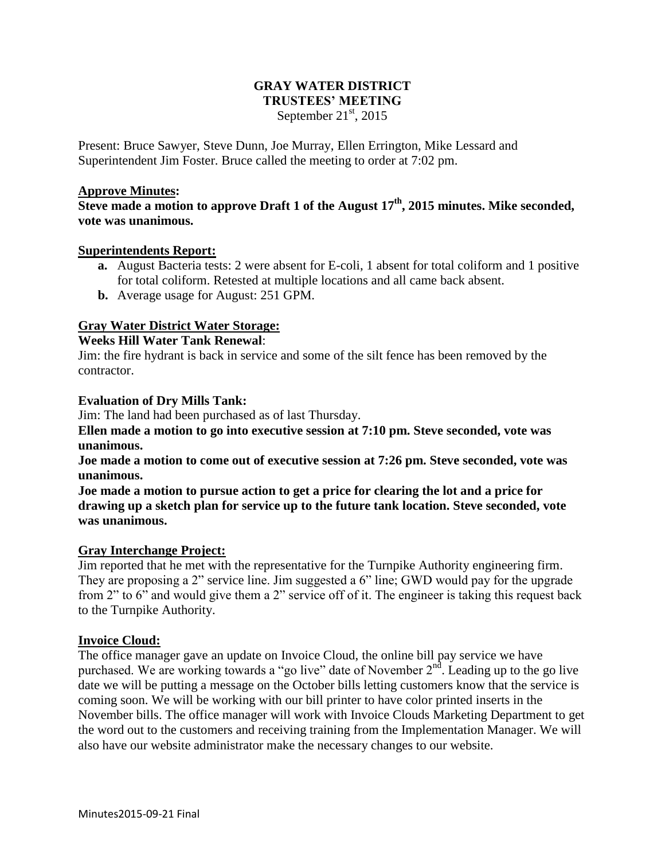## **GRAY WATER DISTRICT TRUSTEES' MEETING** September  $21<sup>st</sup>$ , 2015

Present: Bruce Sawyer, Steve Dunn, Joe Murray, Ellen Errington, Mike Lessard and Superintendent Jim Foster. Bruce called the meeting to order at 7:02 pm.

### **Approve Minutes:**

**Steve made a motion to approve Draft 1 of the August 17th, 2015 minutes. Mike seconded, vote was unanimous.**

### **Superintendents Report:**

- **a.** August Bacteria tests: 2 were absent for E-coli, 1 absent for total coliform and 1 positive for total coliform. Retested at multiple locations and all came back absent.
- **b.** Average usage for August: 251 GPM.

## **Gray Water District Water Storage:**

## **Weeks Hill Water Tank Renewal**:

Jim: the fire hydrant is back in service and some of the silt fence has been removed by the contractor.

### **Evaluation of Dry Mills Tank:**

Jim: The land had been purchased as of last Thursday.

**Ellen made a motion to go into executive session at 7:10 pm. Steve seconded, vote was unanimous.**

**Joe made a motion to come out of executive session at 7:26 pm. Steve seconded, vote was unanimous.**

**Joe made a motion to pursue action to get a price for clearing the lot and a price for drawing up a sketch plan for service up to the future tank location. Steve seconded, vote was unanimous.**

## **Gray Interchange Project:**

Jim reported that he met with the representative for the Turnpike Authority engineering firm. They are proposing a 2" service line. Jim suggested a 6" line; GWD would pay for the upgrade from 2" to 6" and would give them a 2" service off of it. The engineer is taking this request back to the Turnpike Authority.

#### **Invoice Cloud:**

The office manager gave an update on Invoice Cloud, the online bill pay service we have purchased. We are working towards a "go live" date of November  $2<sup>nd</sup>$ . Leading up to the go live date we will be putting a message on the October bills letting customers know that the service is coming soon. We will be working with our bill printer to have color printed inserts in the November bills. The office manager will work with Invoice Clouds Marketing Department to get the word out to the customers and receiving training from the Implementation Manager. We will also have our website administrator make the necessary changes to our website.